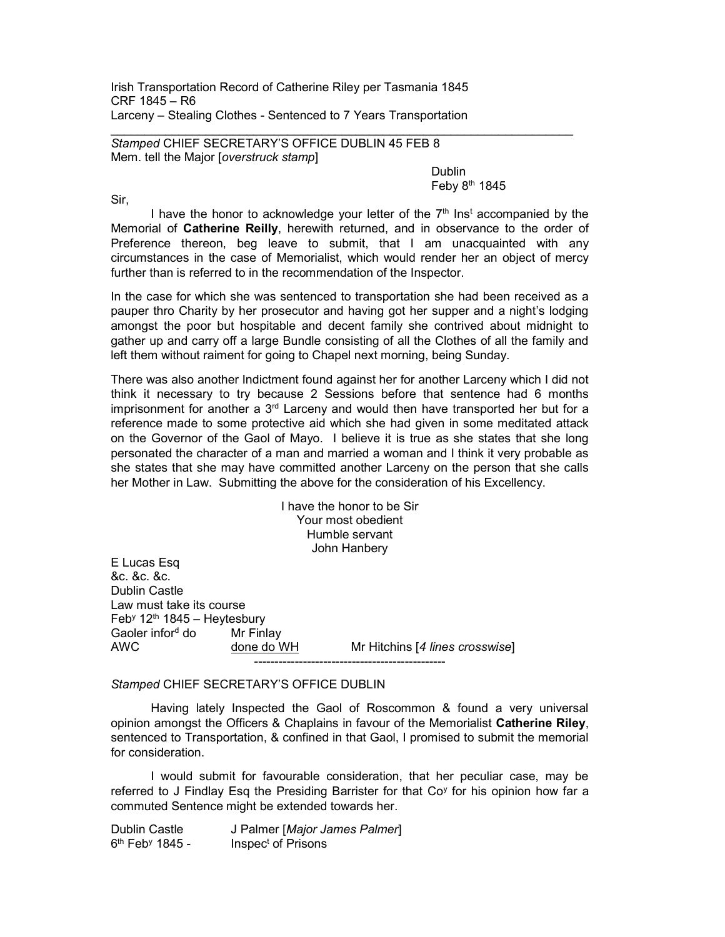Irish Transportation Record of Catherine Riley per Tasmania 1845 CRF 1845 – R6 Larceny – Stealing Clothes - Sentenced to 7 Years Transportation

Stamped CHIEF SECRETARY'S OFFICE DUBLIN 45 FEB 8 Mem. tell the Major [overstruck stamp]

de a contra a construction de la construction de la construction de la construction de la construction de la c Feby  $8<sup>th</sup>$  1845

Sir,

I have the honor to acknowledge your letter of the  $7<sup>th</sup>$  Inst accompanied by the Memorial of Catherine Reilly, herewith returned, and in observance to the order of Preference thereon, beg leave to submit, that I am unacquainted with any circumstances in the case of Memorialist, which would render her an object of mercy further than is referred to in the recommendation of the Inspector.

In the case for which she was sentenced to transportation she had been received as a pauper thro Charity by her prosecutor and having got her supper and a night's lodging amongst the poor but hospitable and decent family she contrived about midnight to gather up and carry off a large Bundle consisting of all the Clothes of all the family and left them without raiment for going to Chapel next morning, being Sunday.

There was also another Indictment found against her for another Larceny which I did not think it necessary to try because 2 Sessions before that sentence had 6 months imprisonment for another a  $3<sup>rd</sup>$  Larceny and would then have transported her but for a reference made to some protective aid which she had given in some meditated attack on the Governor of the Gaol of Mayo. I believe it is true as she states that she long personated the character of a man and married a woman and I think it very probable as she states that she may have committed another Larceny on the person that she calls her Mother in Law. Submitting the above for the consideration of his Excellency.

> I have the honor to be Sir Your most obedient Humble servant John Hanbery

E Lucas Esq &c. &c. &c. Dublin Castle Law must take its course Feb<sup>y</sup> 12th 1845 – Heytesbury Gaoler inford do Mr Finlav AWC done do WH Mr Hitchins [4 lines crosswise] -----------------------------------------------

## Stamped CHIEF SECRETARY'S OFFICE DUBLIN

 Having lately Inspected the Gaol of Roscommon & found a very universal opinion amongst the Officers & Chaplains in favour of the Memorialist Catherine Riley, sentenced to Transportation, & confined in that Gaol, I promised to submit the memorial for consideration.

 I would submit for favourable consideration, that her peculiar case, may be referred to J Findlay Esq the Presiding Barrister for that Co<sup>y</sup> for his opinion how far a commuted Sentence might be extended towards her.

Dublin Castle J Palmer [Major James Palmer] 6<sup>th</sup> Feb<sup>y</sup> 1845 - Inspec<sup>t</sup> of Prisons